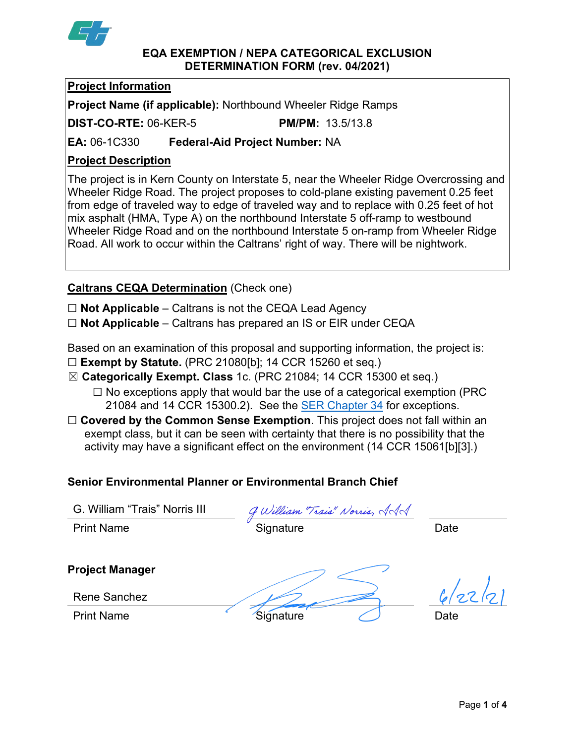

## **EQA EXEMPTION / NEPA CATEGORICAL EXCLUSION DETERMINATION FORM (rev. 04/2021)**

## **Project Information**

**Project Name (if applicable):** Northbound Wheeler Ridge Ramps

**DIST-CO-RTE:** 06-KER-5 **PM/PM:** 13.5/13.8

**EA:** 06-1C330 **Federal-Aid Project Number:** NA

## **Project Description**

The project is in Kern County on Interstate 5, near the Wheeler Ridge Overcrossing and Wheeler Ridge Road. The project proposes to cold-plane existing pavement 0.25 feet from edge of traveled way to edge of traveled way and to replace with 0.25 feet of hot mix asphalt (HMA, Type A) on the northbound Interstate 5 off-ramp to westbound Wheeler Ridge Road and on the northbound Interstate 5 on-ramp from Wheeler Ridge Road. All work to occur within the Caltrans' right of way. There will be nightwork.

# **Caltrans CEQA Determination** (Check one)

☐ **Not Applicable** – Caltrans is not the CEQA Lead Agency

☐ **Not Applicable** – Caltrans has prepared an IS or EIR under CEQA

Based on an examination of this proposal and supporting information, the project is:

- ☐ **Exempt by Statute.** (PRC 21080[b]; 14 CCR 15260 et seq.)
- ☒ **Categorically Exempt. Class** 1c. (PRC 21084; 14 CCR 15300 et seq.)
	- $\Box$  No exceptions apply that would bar the use of a categorical exemption (PRC 21084 and 14 CCR 15300.2). See the [SER Chapter 34](https://dot.ca.gov/programs/environmental-analysis/standard-environmental-reference-ser/volume-1-guidance-for-compliance/ch-34-exemptions-to-ceqa#except) for exceptions.
- □ **Covered by the Common Sense Exemption**. This project does not fall within an exempt class, but it can be seen with certainty that there is no possibility that the activity may have a significant effect on the environment (14 CCR 15061[b][3].)

## **Senior Environmental Planner or Environmental Branch Chief**

G. William "Trais" Norris III

 $\frac{G.$  William "Trais" Norris III  $\frac{g \ \omega$ illiam *"Trais" Norris,*  $\sqrt{d}$  Quintillam Date

**Project Manager**

 $6/27/21$ 

Rene Sanchez

Print Name Signature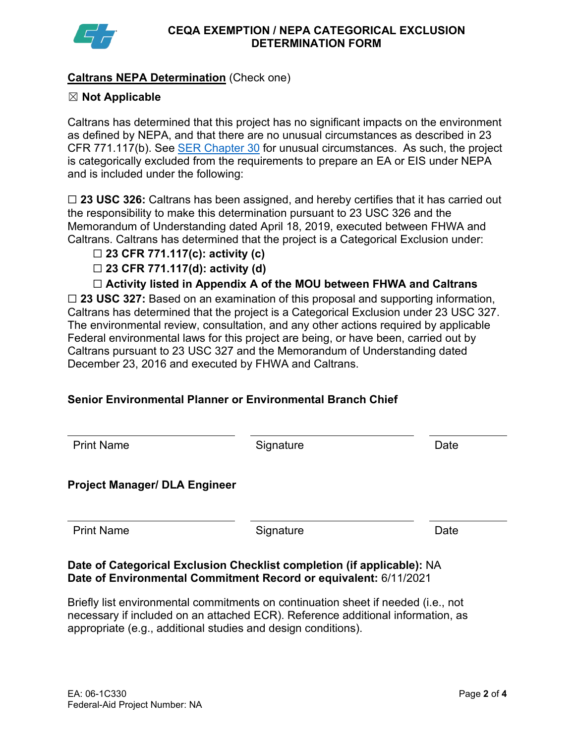

## **Caltrans NEPA Determination** (Check one)

## ☒ **Not Applicable**

Caltrans has determined that this project has no significant impacts on the environment as defined by NEPA, and that there are no unusual circumstances as described in 23 CFR 771.117(b). See [SER Chapter 30](https://dot.ca.gov/programs/environmental-analysis/standard-environmental-reference-ser/volume-1-guidance-for-compliance/ch-30-categorical-exclusions#exception) for unusual circumstances. As such, the project is categorically excluded from the requirements to prepare an EA or EIS under NEPA and is included under the following:

☐ **23 USC 326:** Caltrans has been assigned, and hereby certifies that it has carried out the responsibility to make this determination pursuant to 23 USC 326 and the Memorandum of Understanding dated April 18, 2019, executed between FHWA and Caltrans. Caltrans has determined that the project is a Categorical Exclusion under:

#### ☐ **23 CFR 771.117(c): activity (c)**

☐ **23 CFR 771.117(d): activity (d)**

## ☐ **Activity listed in Appendix A of the MOU between FHWA and Caltrans**

☐ **23 USC 327:** Based on an examination of this proposal and supporting information, Caltrans has determined that the project is a Categorical Exclusion under 23 USC 327. The environmental review, consultation, and any other actions required by applicable Federal environmental laws for this project are being, or have been, carried out by Caltrans pursuant to 23 USC 327 and the Memorandum of Understanding dated December 23, 2016 and executed by FHWA and Caltrans.

## **Senior Environmental Planner or Environmental Branch Chief**

| <b>Print Name</b>                    | Signature | Date |
|--------------------------------------|-----------|------|
| <b>Project Manager/ DLA Engineer</b> |           |      |
| <b>Print Name</b>                    | Signature | Date |

## **Date of Categorical Exclusion Checklist completion (if applicable):** NA **Date of Environmental Commitment Record or equivalent:** 6/11/2021

Briefly list environmental commitments on continuation sheet if needed (i.e., not necessary if included on an attached ECR). Reference additional information, as appropriate (e.g., additional studies and design conditions).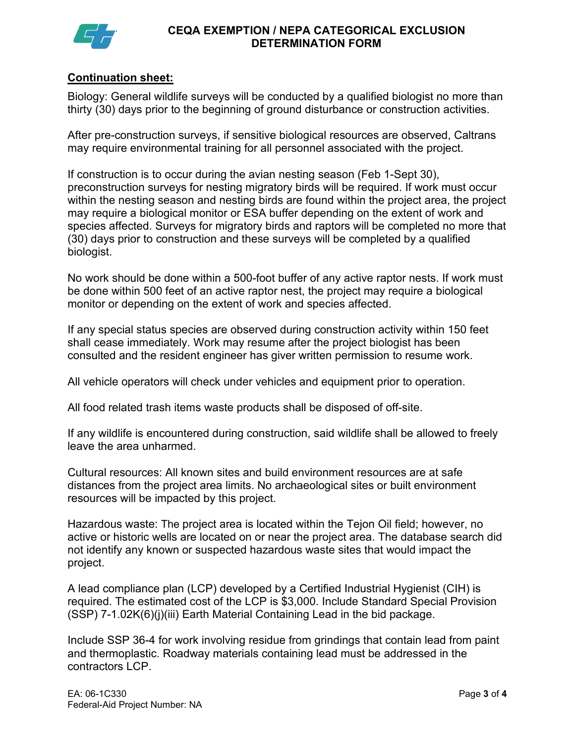

#### **CEQA EXEMPTION / NEPA CATEGORICAL EXCLUSION DETERMINATION FORM**

## **Continuation sheet:**

Biology: General wildlife surveys will be conducted by a qualified biologist no more than thirty (30) days prior to the beginning of ground disturbance or construction activities.

After pre-construction surveys, if sensitive biological resources are observed, Caltrans may require environmental training for all personnel associated with the project.

If construction is to occur during the avian nesting season (Feb 1-Sept 30), preconstruction surveys for nesting migratory birds will be required. If work must occur within the nesting season and nesting birds are found within the project area, the project may require a biological monitor or ESA buffer depending on the extent of work and species affected. Surveys for migratory birds and raptors will be completed no more that (30) days prior to construction and these surveys will be completed by a qualified biologist.

No work should be done within a 500-foot buffer of any active raptor nests. If work must be done within 500 feet of an active raptor nest, the project may require a biological monitor or depending on the extent of work and species affected.

If any special status species are observed during construction activity within 150 feet shall cease immediately. Work may resume after the project biologist has been consulted and the resident engineer has giver written permission to resume work.

All vehicle operators will check under vehicles and equipment prior to operation.

All food related trash items waste products shall be disposed of off-site.

If any wildlife is encountered during construction, said wildlife shall be allowed to freely leave the area unharmed.

Cultural resources: All known sites and build environment resources are at safe distances from the project area limits. No archaeological sites or built environment resources will be impacted by this project.

Hazardous waste: The project area is located within the Tejon Oil field; however, no active or historic wells are located on or near the project area. The database search did not identify any known or suspected hazardous waste sites that would impact the project.

A lead compliance plan (LCP) developed by a Certified Industrial Hygienist (CIH) is required. The estimated cost of the LCP is \$3,000. Include Standard Special Provision (SSP) 7-1.02K(6)(j)(iii) Earth Material Containing Lead in the bid package.

Include SSP 36-4 for work involving residue from grindings that contain lead from paint and thermoplastic. Roadway materials containing lead must be addressed in the contractors LCP.